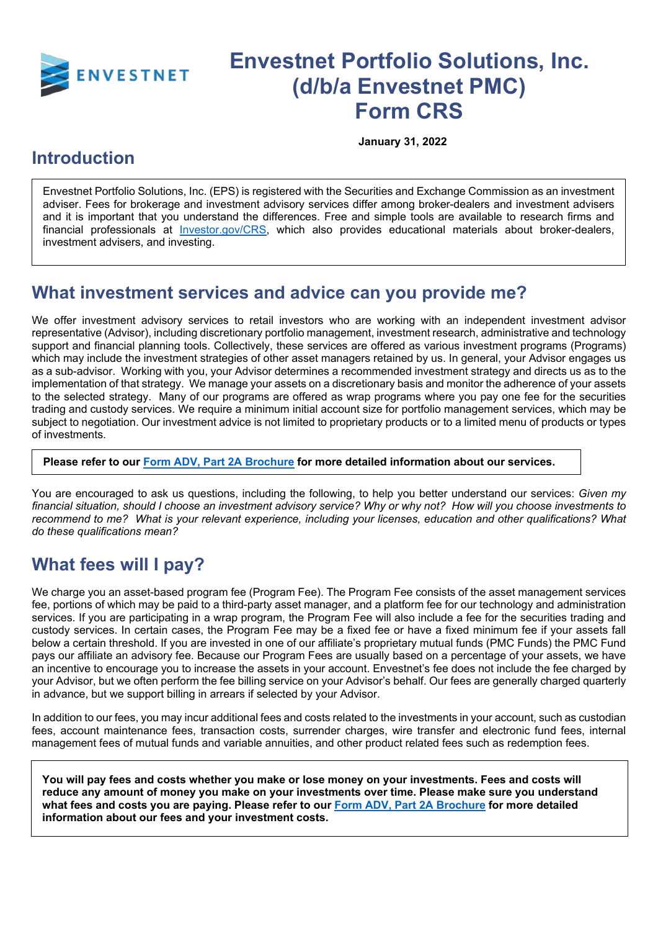

# **Envestnet Portfolio Solutions, Inc. (d/b/a Envestnet PMC) Form CRS**

**January 31, 2022**

#### **Introduction**

Envestnet Portfolio Solutions, Inc. (EPS) is registered with the Securities and Exchange Commission as an investment adviser. Fees for brokerage and investment advisory services differ among broker-dealers and investment advisers and it is important that you understand the differences. Free and simple tools are available to research firms and financial professionals at [Investor.gov/CRS,](https://www.investor.gov/CRS) which also provides educational materials about broker-dealers, investment advisers, and investing.

# **What investment services and advice can you provide me?**

We offer investment advisory services to retail investors who are working with an independent investment advisor representative (Advisor), including discretionary portfolio management, investment research, administrative and technology support and financial planning tools. Collectively, these services are offered as various investment programs (Programs) which may include the investment strategies of other asset managers retained by us. In general, your Advisor engages us as a sub-advisor. Working with you, your Advisor determines a recommended investment strategy and directs us as to the implementation of that strategy. We manage your assets on a discretionary basis and monitor the adherence of your assets to the selected strategy. Many of our programs are offered as wrap programs where you pay one fee for the securities trading and custody services. We require a minimum initial account size for portfolio management services, which may be subject to negotiation. Our investment advice is not limited to proprietary products or to a limited menu of products or types of investments.

**Please refer to our [Form ADV, Part 2A Brochure](https://www.investpmc.com/sites/default/files/documents/EPS-ADV-Part2A.pdf) for more detailed information about our services.**

You are encouraged to ask us questions, including the following, to help you better understand our services: *Given my financial situation, should I choose an investment advisory service? Why or why not? How will you choose investments to recommend to me? What is your relevant experience, including your licenses, education and other qualifications? What do these qualifications mean?*

# **What fees will I pay?**

We charge you an asset-based program fee (Program Fee). The Program Fee consists of the asset management services fee, portions of which may be paid to a third-party asset manager, and a platform fee for our technology and administration services. If you are participating in a wrap program, the Program Fee will also include a fee for the securities trading and custody services. In certain cases, the Program Fee may be a fixed fee or have a fixed minimum fee if your assets fall below a certain threshold. If you are invested in one of our affiliate's proprietary mutual funds (PMC Funds) the PMC Fund pays our affiliate an advisory fee. Because our Program Fees are usually based on a percentage of your assets, we have an incentive to encourage you to increase the assets in your account. Envestnet's fee does not include the fee charged by your Advisor, but we often perform the fee billing service on your Advisor's behalf. Our fees are generally charged quarterly in advance, but we support billing in arrears if selected by your Advisor.

In addition to our fees, you may incur additional fees and costs related to the investments in your account, such as custodian fees, account maintenance fees, transaction costs, surrender charges, wire transfer and electronic fund fees, internal management fees of mutual funds and variable annuities, and other product related fees such as redemption fees.

**You will pay fees and costs whether you make or lose money on your investments. Fees and costs will reduce any amount of money you make on your investments over time. Please make sure you understand what fees and costs you are paying. Please refer to our Form ADV, [Part 2A Brochure](https://www.investpmc.com/sites/default/files/documents/EPS-ADV-Part2A.pdf) for more detailed information about our fees and your investment costs.**